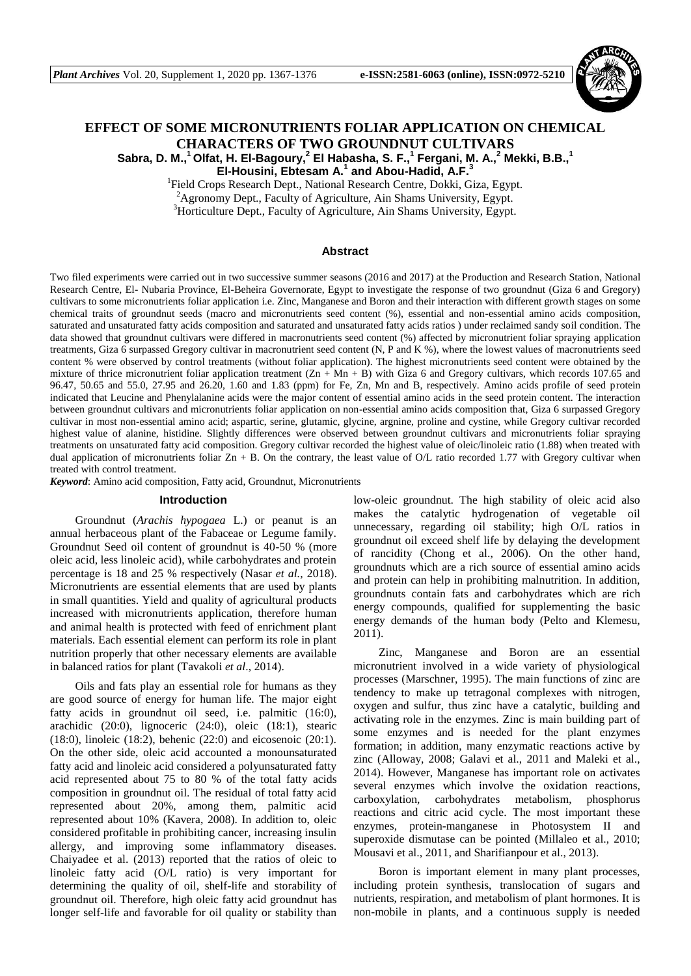

# **EFFECT OF SOME MICRONUTRIENTS FOLIAR APPLICATION ON CHEMICAL CHARACTERS OF TWO GROUNDNUT CULTIVARS Sabra, D. M.,<sup>1</sup>Olfat, H. El-Bagoury, 2 El Habasha, S. F.,<sup>1</sup> Fergani, M. A.,<sup>2</sup> Mekki, B.B.,<sup>1</sup>**

**El-Housini, Ebtesam A.<sup>1</sup> and Abou-Hadid, A.F.<sup>3</sup>**

<sup>1</sup>Field Crops Research Dept., National Research Centre, Dokki, Giza, Egypt.  ${}^{2}$ Agronomy Dept., Faculty of Agriculture, Ain Shams University, Egypt.

<sup>3</sup>Horticulture Dept., Faculty of Agriculture, Ain Shams University, Egypt.

#### **Abstract**

Two filed experiments were carried out in two successive summer seasons (2016 and 2017) at the Production and Research Station, National Research Centre, El- Nubaria Province, El-Beheira Governorate, Egypt to investigate the response of two groundnut (Giza 6 and Gregory) cultivars to some micronutrients foliar application i.e. Zinc, Manganese and Boron and their interaction with different growth stages on some chemical traits of groundnut seeds (macro and micronutrients seed content (%), essential and non-essential amino acids composition, saturated and unsaturated fatty acids composition and saturated and unsaturated fatty acids ratios ) under reclaimed sandy soil condition. The data showed that groundnut cultivars were differed in macronutrients seed content (%) affected by micronutrient foliar spraying application treatments, Giza 6 surpassed Gregory cultivar in macronutrient seed content (N, P and K %), where the lowest values of macronutrients seed content % were observed by control treatments (without foliar application). The highest micronutrients seed content were obtained by the mixture of thrice micronutrient foliar application treatment  $(Zn + Mn + B)$  with Giza 6 and Gregory cultivars, which records 107.65 and 96.47, 50.65 and 55.0, 27.95 and 26.20, 1.60 and 1.83 (ppm) for Fe, Zn, Mn and B, respectively. Amino acids profile of seed protein indicated that Leucine and Phenylalanine acids were the major content of essential amino acids in the seed protein content. The interaction between groundnut cultivars and micronutrients foliar application on non-essential amino acids composition that, Giza 6 surpassed Gregory cultivar in most non-essential amino acid; aspartic, serine, glutamic, glycine, argnine, proline and cystine, while Gregory cultivar recorded highest value of alanine, histidine. Slightly differences were observed between groundnut cultivars and micronutrients foliar spraying treatments on unsaturated fatty acid composition. Gregory cultivar recorded the highest value of oleic/linoleic ratio (1.88) when treated with dual application of micronutrients foliar  $Zn + B$ . On the contrary, the least value of O/L ratio recorded 1.77 with Gregory cultivar when treated with control treatment.

*Keyword*: Amino acid composition, Fatty acid, Groundnut, Micronutrients

#### **Introduction**

Groundnut (*Arachis hypogaea* L.) or peanut is an annual herbaceous plant of the Fabaceae or Legume family. Groundnut Seed oil content of groundnut is 40-50 % (more oleic acid, less linoleic acid), while carbohydrates and protein percentage is 18 and 25 % respectively (Nasar *et al.,* 2018). Micronutrients are essential elements that are used by plants in small quantities. Yield and quality of agricultural products increased with micronutrients application, therefore human and animal health is protected with feed of enrichment plant materials. Each essential element can perform its role in plant nutrition properly that other necessary elements are available in balanced ratios for plant (Tavakoli *et al*., 2014).

Oils and fats play an essential role for humans as they are good source of energy for human life. The major eight fatty acids in groundnut oil seed, i.e. palmitic (16:0), arachidic (20:0), lignoceric (24:0), oleic (18:1), stearic (18:0), linoleic (18:2), behenic (22:0) and eicosenoic (20:1). On the other side, oleic acid accounted a monounsaturated fatty acid and linoleic acid considered a polyunsaturated fatty acid represented about 75 to 80 % of the total fatty acids composition in groundnut oil. The residual of total fatty acid represented about 20%, among them, palmitic acid represented about 10% (Kavera, 2008). In addition to, oleic considered profitable in prohibiting cancer, increasing insulin allergy, and improving some inflammatory diseases. Chaiyadee et al. (2013) reported that the ratios of oleic to linoleic fatty acid (O/L ratio) is very important for determining the quality of oil, shelf-life and storability of groundnut oil. Therefore, high oleic fatty acid groundnut has longer self-life and favorable for oil quality or stability than

low-oleic groundnut. The high stability of oleic acid also makes the catalytic hydrogenation of vegetable oil unnecessary, regarding oil stability; high O/L ratios in groundnut oil exceed shelf life by delaying the development of rancidity (Chong et al., 2006). On the other hand, groundnuts which are a rich source of essential amino acids and protein can help in prohibiting malnutrition. In addition, groundnuts contain fats and carbohydrates which are rich energy compounds, qualified for supplementing the basic energy demands of the human body (Pelto and Klemesu, 2011).

Zinc, Manganese and Boron are an essential micronutrient involved in a wide variety of physiological processes (Marschner, 1995). The main functions of zinc are tendency to make up tetragonal complexes with nitrogen, oxygen and sulfur, thus zinc have a catalytic, building and activating role in the enzymes. Zinc is main building part of some enzymes and is needed for the plant enzymes formation; in addition, many enzymatic reactions active by zinc (Alloway, 2008; Galavi et al., 2011 and Maleki et al., 2014). However, Manganese has important role on activates several enzymes which involve the oxidation reactions, carboxylation, carbohydrates metabolism, phosphorus reactions and citric acid cycle. The most important these enzymes, protein-manganese in Photosystem II and superoxide dismutase can be pointed (Millaleo et al., 2010; Mousavi et al., 2011, and Sharifianpour et al., 2013).

Boron is important element in many plant processes, including protein synthesis, translocation of sugars and nutrients, respiration, and metabolism of plant hormones. It is non-mobile in plants, and a continuous supply is needed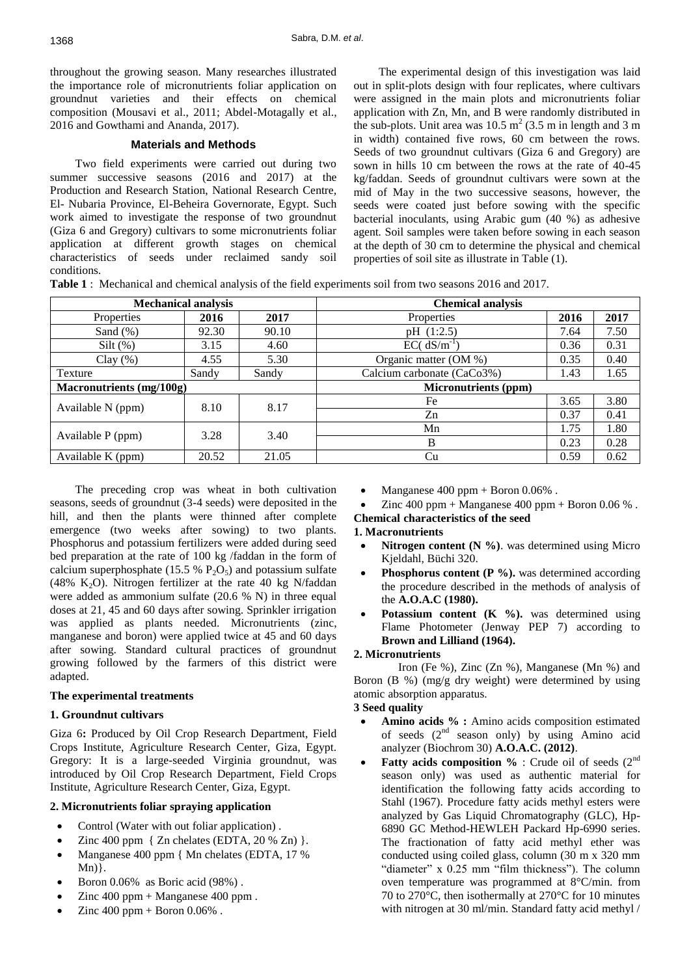throughout the growing season. Many researches illustrated the importance role of micronutrients foliar application on groundnut varieties and their effects on chemical composition (Mousavi et al., 2011; Abdel-Motagally et al., 2016 and Gowthami and Ananda, 2017).

## **Materials and Methods**

Two field experiments were carried out during two summer successive seasons (2016 and 2017) at the Production and Research Station, National Research Centre, El- Nubaria Province, El-Beheira Governorate, Egypt. Such work aimed to investigate the response of two groundnut (Giza 6 and Gregory) cultivars to some micronutrients foliar application at different growth stages on chemical characteristics of seeds under reclaimed sandy soil conditions.

The experimental design of this investigation was laid out in split-plots design with four replicates, where cultivars were assigned in the main plots and micronutrients foliar application with Zn, Mn, and B were randomly distributed in the sub-plots. Unit area was  $10.5 \text{ m}^2$  (3.5 m in length and 3 m in width) contained five rows, 60 cm between the rows. Seeds of two groundnut cultivars (Giza 6 and Gregory) are sown in hills 10 cm between the rows at the rate of 40-45 kg/faddan. Seeds of groundnut cultivars were sown at the mid of May in the two successive seasons, however, the seeds were coated just before sowing with the specific bacterial inoculants, using Arabic gum (40 %) as adhesive agent*.* Soil samples were taken before sowing in each season at the depth of 30 cm to determine the physical and chemical properties of soil site as illustrate in Table (1).

**Table 1** : Mechanical and chemical analysis of the field experiments soil from two seasons 2016 and 2017.

| <b>Mechanical analysis</b> |       |       | <b>Chemical analysis</b>    |      |      |  |  |  |
|----------------------------|-------|-------|-----------------------------|------|------|--|--|--|
| <b>Properties</b>          | 2016  | 2017  | Properties                  | 2016 | 2017 |  |  |  |
| Sand $(\%)$                | 92.30 | 90.10 | pH (1:2.5)                  | 7.64 | 7.50 |  |  |  |
| Silt $(\%)$                | 3.15  | 4.60  | $EC(dS/m^{-1})$             | 0.36 | 0.31 |  |  |  |
| Clay $(\%)$                | 4.55  | 5.30  | Organic matter (OM %)       | 0.35 | 0.40 |  |  |  |
| Texture                    | Sandy | Sandy | Calcium carbonate (CaCo3%)  | 1.43 | 1.65 |  |  |  |
| Macronutrients (mg/100g)   |       |       | <b>Micronutrients (ppm)</b> |      |      |  |  |  |
| Available N (ppm)          | 8.10  | 8.17  | Fe                          | 3.65 | 3.80 |  |  |  |
|                            |       |       | Zn                          | 0.37 | 0.41 |  |  |  |
|                            | 3.28  | 3.40  | Mn                          | 1.75 | 1.80 |  |  |  |
| Available P (ppm)          |       |       | B                           | 0.23 | 0.28 |  |  |  |
| Available K (ppm)          | 20.52 | 21.05 | Cu                          | 0.59 | 0.62 |  |  |  |

The preceding crop was wheat in both cultivation seasons, seeds of groundnut (3-4 seeds) were deposited in the hill, and then the plants were thinned after complete emergence (two weeks after sowing) to two plants. Phosphorus and potassium fertilizers were added during seed bed preparation at the rate of 100 kg /faddan in the form of calcium superphosphate (15.5 %  $P_2O_5$ ) and potassium sulfate (48% K<sub>2</sub>O). Nitrogen fertilizer at the rate 40 kg N/faddan were added as ammonium sulfate (20.6 % N) in three equal doses at 21, 45 and 60 days after sowing. Sprinkler irrigation was applied as plants needed. Micronutrients (zinc, manganese and boron) were applied twice at 45 and 60 days after sowing. Standard cultural practices of groundnut growing followed by the farmers of this district were adapted.

## **The experimental treatments**

## **1. Groundnut cultivars**

Giza 6**:** Produced by Oil Crop Research Department, Field Crops Institute, Agriculture Research Center, Giza, Egypt. Gregory: It is a large-seeded Virginia groundnut, was introduced by Oil Crop Research Department, Field Crops Institute, Agriculture Research Center, Giza, Egypt.

## **2. Micronutrients foliar spraying application**

- Control (Water with out foliar application) .
- Zinc 400 ppm { Zn chelates (EDTA, 20 % Zn) }.
- Manganese 400 ppm { Mn chelates (EDTA, 17 %  $Mn)$ .
- Boron 0.06% as Boric acid (98%) .
- Zinc 400 ppm + Manganese 400 ppm .
- Zinc  $400$  ppm + Boron  $0.06\%$ .

Manganese  $400$  ppm + Boron  $0.06\%$ .

Zinc  $400$  ppm + Manganese  $400$  ppm + Boron  $0.06\%$ . **Chemical characteristics of the seed** 

# **1. Macronutrients**

- **Nitrogen content (N %)**. was determined using Micro Kjeldahl, Büchi 320.
- **Phosphorus content (P %).** was determined according the procedure described in the methods of analysis of the **A.O.A.C (1980).**
- Potassium content (K %). was determined using Flame Photometer (Jenway PEP 7) according to **Brown and Lilliand (1964).**

#### **2. Micronutrients**

Iron (Fe %), Zinc (Zn %), Manganese (Mn %) and Boron (B %) (mg/g dry weight) were determined by using atomic absorption apparatus.

# **3 Seed quality**

- **Amino acids % :** Amino acids composition estimated of seeds  $(2<sup>nd</sup>$  season only) by using Amino acid analyzer (Biochrom 30) **A.O.A.C. (2012)**.
- **Fatty acids composition %** : Crude oil of seeds (2<sup>nd</sup>) season only) was used as authentic material for identification the following fatty acids according to Stahl (1967). Procedure fatty acids methyl esters were analyzed by Gas Liquid Chromatography (GLC), Hp-6890 GC Method-HEWLEH Packard Hp-6990 series. The fractionation of fatty acid methyl ether was conducted using coiled glass, column (30 m x 320 mm "diameter" x 0.25 mm "film thickness"). The column oven temperature was programmed at 8°C/min. from 70 to 270°C, then isothermally at 270°C for 10 minutes with nitrogen at 30 ml/min. Standard fatty acid methyl /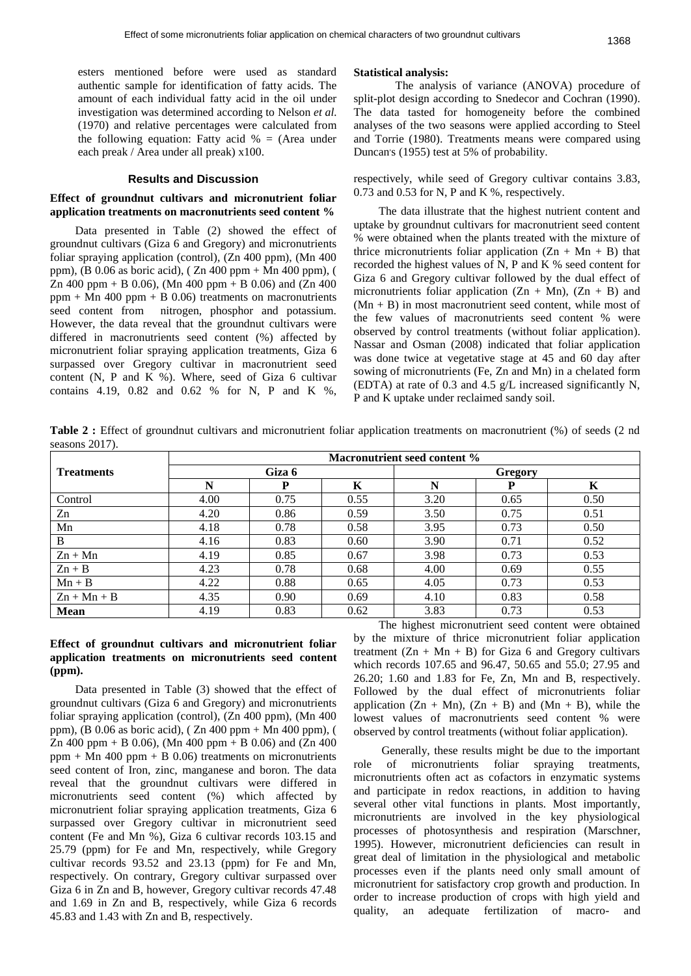esters mentioned before were used as standard authentic sample for identification of fatty acids. The amount of each individual fatty acid in the oil under investigation was determined according to Nelson *et al.* (1970) and relative percentages were calculated from the following equation: Fatty acid  $% = (Area under)$ each preak / Area under all preak) x100.

#### **Results and Discussion**

#### **Effect of groundnut cultivars and micronutrient foliar application treatments on macronutrients seed content %**

Data presented in Table (2) showed the effect of groundnut cultivars (Giza 6 and Gregory) and micronutrients foliar spraying application (control), (Zn 400 ppm), (Mn 400 ppm), (B 0.06 as boric acid), ( Zn 400 ppm + Mn 400 ppm), ( Zn 400 ppm + B 0.06), (Mn 400 ppm + B 0.06) and (Zn 400  $ppm + Mn 400 ppm + B 0.06$ ) treatments on macronutrients seed content from nitrogen, phosphor and potassium. However, the data reveal that the groundnut cultivars were differed in macronutrients seed content (%) affected by micronutrient foliar spraying application treatments, Giza 6 surpassed over Gregory cultivar in macronutrient seed content (N, P and K %). Where, seed of Giza 6 cultivar contains 4.19, 0.82 and 0.62 % for N, P and K %,

#### **Statistical analysis:**

The analysis of variance (ANOVA) procedure of split-plot design according to Snedecor and Cochran (1990). The data tasted for homogeneity before the combined analyses of the two seasons were applied according to Steel and Torrie (1980). Treatments means were compared using Duncan's (1955) test at 5% of probability.

respectively, while seed of Gregory cultivar contains 3.83, 0.73 and 0.53 for N, P and K %, respectively.

The data illustrate that the highest nutrient content and uptake by groundnut cultivars for macronutrient seed content % were obtained when the plants treated with the mixture of thrice micronutrients foliar application  $(Zn + Mn + B)$  that recorded the highest values of N, P and K % seed content for Giza 6 and Gregory cultivar followed by the dual effect of micronutrients foliar application  $(Zn + Mn)$ ,  $(Zn + B)$  and  $(Mn + B)$  in most macronutrient seed content, while most of the few values of macronutrients seed content % were observed by control treatments (without foliar application). Nassar and Osman (2008) indicated that foliar application was done twice at vegetative stage at 45 and 60 day after sowing of micronutrients (Fe, Zn and Mn) in a chelated form (EDTA) at rate of 0.3 and 4.5 g/L increased significantly N, P and K uptake under reclaimed sandy soil.

**Table 2 :** Effect of groundnut cultivars and micronutrient foliar application treatments on macronutrient (%) of seeds (2 nd seasons 2017).

|                   | Macronutrient seed content % |        |      |                |      |      |  |  |  |  |  |
|-------------------|------------------------------|--------|------|----------------|------|------|--|--|--|--|--|
| <b>Treatments</b> |                              | Giza 6 |      | <b>Gregory</b> |      |      |  |  |  |  |  |
|                   | N                            | P      | K    | N              | P    | K    |  |  |  |  |  |
| Control           | 4.00                         | 0.75   | 0.55 | 3.20           | 0.65 | 0.50 |  |  |  |  |  |
| Zn                | 4.20                         | 0.86   | 0.59 | 3.50           | 0.75 | 0.51 |  |  |  |  |  |
| Mn                | 4.18                         | 0.78   | 0.58 | 3.95           | 0.73 | 0.50 |  |  |  |  |  |
| B                 | 4.16                         | 0.83   | 0.60 | 3.90           | 0.71 | 0.52 |  |  |  |  |  |
| $Zn + Mn$         | 4.19                         | 0.85   | 0.67 | 3.98           | 0.73 | 0.53 |  |  |  |  |  |
| $Zn + B$          | 4.23                         | 0.78   | 0.68 | 4.00           | 0.69 | 0.55 |  |  |  |  |  |
| $Mn + B$          | 4.22                         | 0.88   | 0.65 | 4.05           | 0.73 | 0.53 |  |  |  |  |  |
| $Zn + Mn + B$     | 4.35                         | 0.90   | 0.69 | 4.10           | 0.83 | 0.58 |  |  |  |  |  |
| Mean              | 4.19                         | 0.83   | 0.62 | 3.83           | 0.73 | 0.53 |  |  |  |  |  |

### **Effect of groundnut cultivars and micronutrient foliar application treatments on micronutrients seed content (ppm).**

Data presented in Table (3) showed that the effect of groundnut cultivars (Giza 6 and Gregory) and micronutrients foliar spraying application (control), (Zn 400 ppm), (Mn 400 ppm), (B 0.06 as boric acid), ( Zn 400 ppm + Mn 400 ppm), ( Zn 400 ppm + B 0.06), (Mn 400 ppm + B 0.06) and (Zn 400 ppm + Mn 400 ppm + B 0.06) treatments on micronutrients seed content of Iron, zinc, manganese and boron. The data reveal that the groundnut cultivars were differed in micronutrients seed content (%) which affected by micronutrient foliar spraying application treatments, Giza 6 surpassed over Gregory cultivar in micronutrient seed content (Fe and Mn %), Giza 6 cultivar records 103.15 and 25.79 (ppm) for Fe and Mn, respectively, while Gregory cultivar records 93.52 and 23.13 (ppm) for Fe and Mn, respectively. On contrary, Gregory cultivar surpassed over Giza 6 in Zn and B, however, Gregory cultivar records 47.48 and 1.69 in Zn and B, respectively, while Giza 6 records 45.83 and 1.43 with Zn and B, respectively.

The highest micronutrient seed content were obtained by the mixture of thrice micronutrient foliar application treatment  $(Zn + Mn + B)$  for Giza 6 and Gregory cultivars which records 107.65 and 96.47, 50.65 and 55.0; 27.95 and 26.20; 1.60 and 1.83 for Fe, Zn, Mn and B, respectively. Followed by the dual effect of micronutrients foliar application  $(Zn + Mn)$ ,  $(Zn + B)$  and  $(Mn + B)$ , while the lowest values of macronutrients seed content % were observed by control treatments (without foliar application).

Generally, these results might be due to the important role of micronutrients foliar spraying treatments, micronutrients often act as cofactors in enzymatic systems and participate in redox reactions, in addition to having several other vital functions in plants. Most importantly, micronutrients are involved in the key physiological processes of photosynthesis and respiration (Marschner, 1995). However, micronutrient deficiencies can result in great deal of limitation in the physiological and metabolic processes even if the plants need only small amount of micronutrient for satisfactory crop growth and production. In order to increase production of crops with high yield and quality, an adequate fertilization of macro- and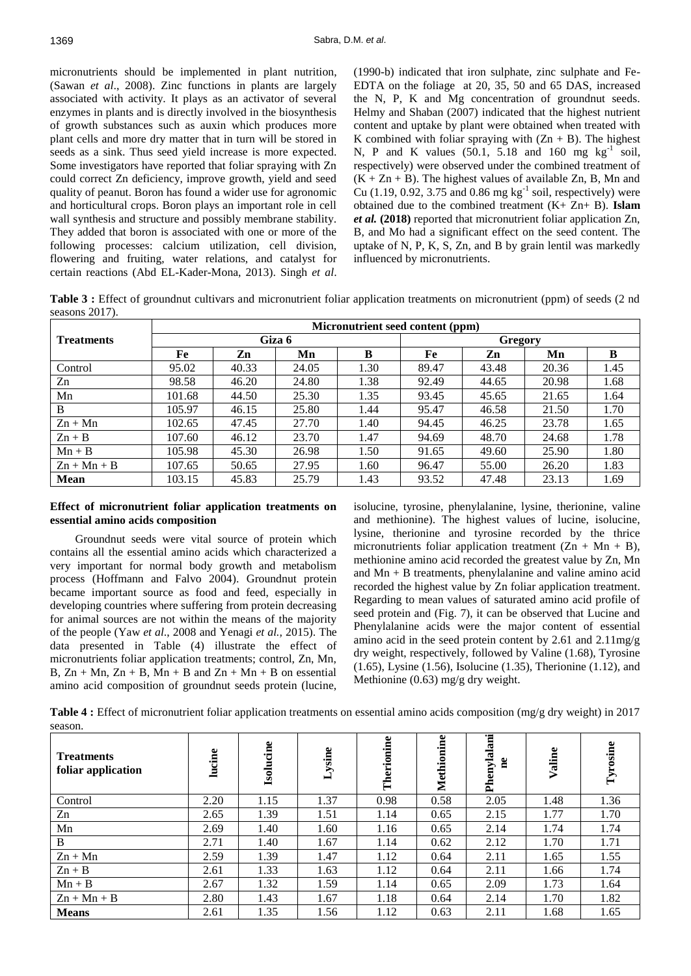micronutrients should be implemented in plant nutrition, (Sawan *et al*., 2008). Zinc functions in plants are largely associated with activity. It plays as an activator of several enzymes in plants and is directly involved in the biosynthesis of growth substances such as auxin which produces more plant cells and more dry matter that in turn will be stored in seeds as a sink. Thus seed yield increase is more expected. Some investigators have reported that foliar spraying with Zn could correct Zn deficiency, improve growth, yield and seed quality of peanut. Boron has found a wider use for agronomic and horticultural crops. Boron plays an important role in cell wall synthesis and structure and possibly membrane stability. They added that boron is associated with one or more of the following processes: calcium utilization, cell division, flowering and fruiting, water relations, and catalyst for certain reactions (Abd EL-Kader-Mona, 2013). Singh *et al*.

(1990-b) indicated that iron sulphate, zinc sulphate and Fe-EDTA on the foliage at 20, 35, 50 and 65 DAS, increased the N, P, K and Mg concentration of groundnut seeds. Helmy and Shaban (2007) indicated that the highest nutrient content and uptake by plant were obtained when treated with K combined with foliar spraying with  $(Zn + B)$ . The highest N, P and K values  $(50.1, 5.18$  and  $160$  mg kg<sup>-1</sup> soil, respectively) were observed under the combined treatment of  $(K + Zn + B)$ . The highest values of available Zn, B, Mn and Cu  $(1.19, 0.92, 3.75, \text{ and } 0.86 \text{ mg kg}^{-1} \text{ soil}, \text{respectively})$  were obtained due to the combined treatment (K+ Zn+ B). **Islam**  *et al.* **(2018)** reported that micronutrient foliar application Zn, B, and Mo had a significant effect on the seed content. The uptake of N, P, K, S, Zn, and B by grain lentil was markedly influenced by micronutrients.

**Table 3 :** Effect of groundnut cultivars and micronutrient foliar application treatments on micronutrient (ppm) of seeds (2 nd seasons 2017).

|                   | Micronutrient seed content (ppm) |       |        |      |         |       |       |      |  |  |  |
|-------------------|----------------------------------|-------|--------|------|---------|-------|-------|------|--|--|--|
| <b>Treatments</b> |                                  |       | Giza 6 |      | Gregory |       |       |      |  |  |  |
|                   | Fe                               | Zn    | Mn     | B    | Fe      | Zn    | Mn    | B    |  |  |  |
| Control           | 95.02                            | 40.33 | 24.05  | 1.30 | 89.47   | 43.48 | 20.36 | 1.45 |  |  |  |
| Zn                | 98.58                            | 46.20 | 24.80  | 1.38 | 92.49   | 44.65 | 20.98 | 1.68 |  |  |  |
| Mn                | 101.68                           | 44.50 | 25.30  | 1.35 | 93.45   | 45.65 | 21.65 | 1.64 |  |  |  |
| B                 | 105.97                           | 46.15 | 25.80  | 1.44 | 95.47   | 46.58 | 21.50 | 1.70 |  |  |  |
| $Zn + Mn$         | 102.65                           | 47.45 | 27.70  | 1.40 | 94.45   | 46.25 | 23.78 | 1.65 |  |  |  |
| $Zn + B$          | 107.60                           | 46.12 | 23.70  | 1.47 | 94.69   | 48.70 | 24.68 | 1.78 |  |  |  |
| $Mn + B$          | 105.98                           | 45.30 | 26.98  | 1.50 | 91.65   | 49.60 | 25.90 | 1.80 |  |  |  |
| $Zn + Mn + B$     | 107.65                           | 50.65 | 27.95  | 1.60 | 96.47   | 55.00 | 26.20 | 1.83 |  |  |  |
| Mean              | 103.15                           | 45.83 | 25.79  | 1.43 | 93.52   | 47.48 | 23.13 | 1.69 |  |  |  |

## **Effect of micronutrient foliar application treatments on essential amino acids composition**

Groundnut seeds were vital source of protein which contains all the essential amino acids which characterized a very important for normal body growth and metabolism process (Hoffmann and Falvo 2004). Groundnut protein became important source as food and feed, especially in developing countries where suffering from protein decreasing for animal sources are not within the means of the majority of the people (Yaw *et al*., 2008 and Yenagi *et al.,* 2015). The data presented in Table (4) illustrate the effect of micronutrients foliar application treatments; control, Zn, Mn,  $B, Zn + Mn, Zn + B, Mn + B$  and  $Zn + Mn + B$  on essential amino acid composition of groundnut seeds protein (lucine, isolucine, tyrosine, phenylalanine, lysine, therionine, valine and methionine). The highest values of lucine, isolucine, lysine, therionine and tyrosine recorded by the thrice micronutrients foliar application treatment  $(Zn + Mn + B)$ , methionine amino acid recorded the greatest value by Zn, Mn and Mn + B treatments, phenylalanine and valine amino acid recorded the highest value by Zn foliar application treatment. Regarding to mean values of saturated amino acid profile of seed protein and (Fig. 7), it can be observed that Lucine and Phenylalanine acids were the major content of essential amino acid in the seed protein content by 2.61 and 2.11mg/g dry weight, respectively, followed by Valine (1.68), Tyrosine (1.65), Lysine (1.56), Isolucine (1.35), Therionine (1.12), and Methionine (0.63) mg/g dry weight.

**Table 4 :** Effect of micronutrient foliar application treatments on essential amino acids composition (mg/g dry weight) in 2017 season.

| <b>Treatments</b><br>foliar application | lucine | cine<br>Isolu | Lysine | Therionine | Methionine | Phenylalani<br>e° | Valine | Tyrosine |
|-----------------------------------------|--------|---------------|--------|------------|------------|-------------------|--------|----------|
| Control                                 | 2.20   | 1.15          | 1.37   | 0.98       | 0.58       | 2.05              | 1.48   | 1.36     |
| Zn                                      | 2.65   | 1.39          | 1.51   | 1.14       | 0.65       | 2.15              | 1.77   | 1.70     |
| Mn                                      | 2.69   | 1.40          | 1.60   | 1.16       | 0.65       | 2.14              | 1.74   | 1.74     |
| B                                       | 2.71   | 1.40          | 1.67   | 1.14       | 0.62       | 2.12              | 1.70   | 1.71     |
| $Zn + Mn$                               | 2.59   | 1.39          | 1.47   | 1.12       | 0.64       | 2.11              | 1.65   | 1.55     |
| $Zn + B$                                | 2.61   | 1.33          | 1.63   | 1.12       | 0.64       | 2.11              | 1.66   | 1.74     |
| $Mn + B$                                | 2.67   | 1.32          | 1.59   | 1.14       | 0.65       | 2.09              | 1.73   | 1.64     |
| $Zn + Mn + B$                           | 2.80   | 1.43          | 1.67   | 1.18       | 0.64       | 2.14              | 1.70   | 1.82     |
| <b>Means</b>                            | 2.61   | 1.35          | 1.56   | 1.12       | 0.63       | 2.11              | 1.68   | 1.65     |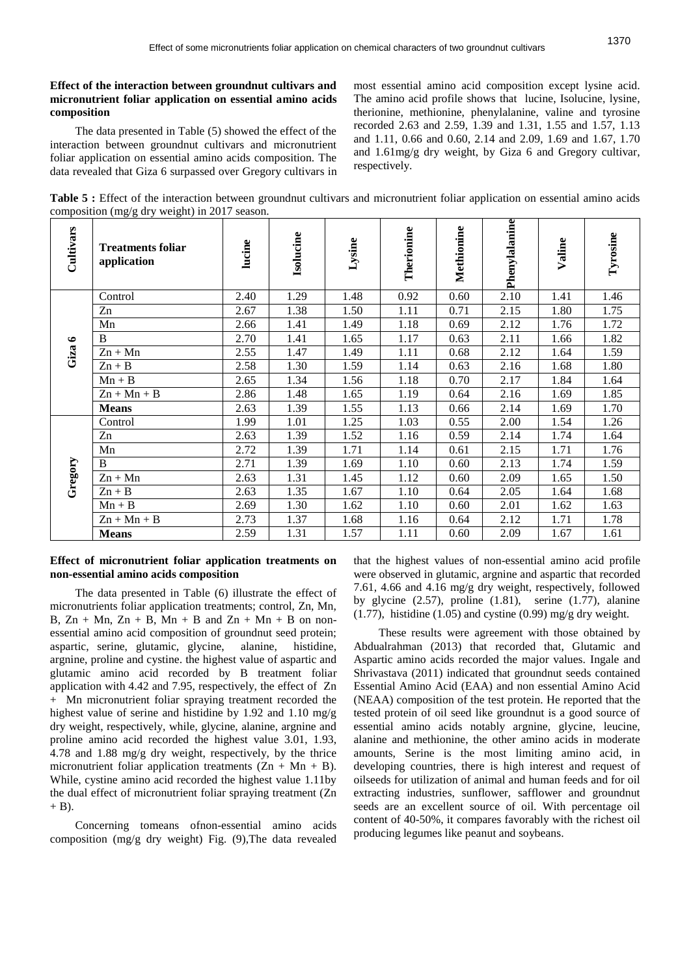# **Effect of the interaction between groundnut cultivars and micronutrient foliar application on essential amino acids composition**

The data presented in Table (5) showed the effect of the interaction between groundnut cultivars and micronutrient foliar application on essential amino acids composition. The data revealed that Giza 6 surpassed over Gregory cultivars in most essential amino acid composition except lysine acid. The amino acid profile shows that lucine, Isolucine, lysine, therionine, methionine, phenylalanine, valine and tyrosine recorded 2.63 and 2.59, 1.39 and 1.31, 1.55 and 1.57, 1.13 and 1.11, 0.66 and 0.60, 2.14 and 2.09, 1.69 and 1.67, 1.70 and 1.61mg/g dry weight, by Giza 6 and Gregory cultivar, respectively.

**Table 5 :** Effect of the interaction between groundnut cultivars and micronutrient foliar application on essential amino acids composition (mg/g dry weight) in 2017 season.

| Cultivars | <b>Treatments foliar</b><br>application | lucine | Isolucine | Lysine | Therionine | Methionine | Phenylalanine | Valine | Tyrosine |
|-----------|-----------------------------------------|--------|-----------|--------|------------|------------|---------------|--------|----------|
|           | Control                                 | 2.40   | 1.29      | 1.48   | 0.92       | 0.60       | 2.10          | 1.41   | 1.46     |
|           | Zn                                      | 2.67   | 1.38      | 1.50   | 1.11       | 0.71       | 2.15          | 1.80   | 1.75     |
|           | Mn                                      | 2.66   | 1.41      | 1.49   | 1.18       | 0.69       | 2.12          | 1.76   | 1.72     |
| $\bullet$ | B                                       | 2.70   | 1.41      | 1.65   | 1.17       | 0.63       | 2.11          | 1.66   | 1.82     |
| Giza      | $Zn + Mn$                               | 2.55   | 1.47      | 1.49   | 1.11       | 0.68       | 2.12          | 1.64   | 1.59     |
|           | $Zn + B$                                | 2.58   | 1.30      | 1.59   | 1.14       | 0.63       | 2.16          | 1.68   | 1.80     |
|           | $Mn + B$                                | 2.65   | 1.34      | 1.56   | 1.18       | 0.70       | 2.17          | 1.84   | 1.64     |
|           | $Zn + Mn + B$                           | 2.86   | 1.48      | 1.65   | 1.19       | 0.64       | 2.16          | 1.69   | 1.85     |
|           | <b>Means</b>                            | 2.63   | 1.39      | 1.55   | 1.13       | 0.66       | 2.14          | 1.69   | 1.70     |
|           | Control                                 | 1.99   | 1.01      | 1.25   | 1.03       | 0.55       | 2.00          | 1.54   | 1.26     |
|           | Zn                                      | 2.63   | 1.39      | 1.52   | 1.16       | 0.59       | 2.14          | 1.74   | 1.64     |
|           | Mn                                      | 2.72   | 1.39      | 1.71   | 1.14       | 0.61       | 2.15          | 1.71   | 1.76     |
| Gregory   | B                                       | 2.71   | 1.39      | 1.69   | 1.10       | 0.60       | 2.13          | 1.74   | 1.59     |
|           | $Zn + Mn$                               | 2.63   | 1.31      | 1.45   | 1.12       | 0.60       | 2.09          | 1.65   | 1.50     |
|           | $Zn + B$                                | 2.63   | 1.35      | 1.67   | 1.10       | 0.64       | 2.05          | 1.64   | 1.68     |
|           | $Mn + B$                                | 2.69   | 1.30      | 1.62   | 1.10       | 0.60       | 2.01          | 1.62   | 1.63     |
|           | $Zn + Mn + B$                           | 2.73   | 1.37      | 1.68   | 1.16       | 0.64       | 2.12          | 1.71   | 1.78     |
|           | <b>Means</b>                            | 2.59   | 1.31      | 1.57   | 1.11       | 0.60       | 2.09          | 1.67   | 1.61     |

## **Effect of micronutrient foliar application treatments on non-essential amino acids composition**

The data presented in Table (6) illustrate the effect of micronutrients foliar application treatments; control, Zn, Mn, B,  $Zn + Mn$ ,  $Zn + B$ ,  $Mn + B$  and  $Zn + Mn + B$  on nonessential amino acid composition of groundnut seed protein; aspartic, serine, glutamic, glycine, alanine, histidine, argnine, proline and cystine. the highest value of aspartic and glutamic amino acid recorded by B treatment foliar application with 4.42 and 7.95, respectively, the effect of Zn + Mn micronutrient foliar spraying treatment recorded the highest value of serine and histidine by 1.92 and 1.10 mg/g dry weight, respectively, while, glycine, alanine, argnine and proline amino acid recorded the highest value 3.01, 1.93, 4.78 and 1.88 mg/g dry weight, respectively, by the thrice micronutrient foliar application treatments  $(Zn + Mn + B)$ . While, cystine amino acid recorded the highest value 1.11by the dual effect of micronutrient foliar spraying treatment (Zn  $+$  B).

Concerning tomeans ofnon-essential amino acids composition (mg/g dry weight) Fig. (9),The data revealed that the highest values of non-essential amino acid profile were observed in glutamic, argnine and aspartic that recorded 7.61, 4.66 and 4.16 mg/g dry weight, respectively, followed by glycine (2.57), proline (1.81), serine (1.77), alanine  $(1.77)$ , histidine  $(1.05)$  and cystine  $(0.99)$  mg/g dry weight.

These results were agreement with those obtained by Abdualrahman (2013) that recorded that, Glutamic and Aspartic amino acids recorded the major values. Ingale and Shrivastava (2011) indicated that groundnut seeds contained Essential Amino Acid (EAA) and non essential Amino Acid (NEAA) composition of the test protein. He reported that the tested protein of oil seed like groundnut is a good source of essential amino acids notably argnine, glycine, leucine, alanine and methionine, the other amino acids in moderate amounts, Serine is the most limiting amino acid, in developing countries, there is high interest and request of oilseeds for utilization of animal and human feeds and for oil extracting industries, sunflower, safflower and groundnut seeds are an excellent source of oil. With percentage oil content of 40-50%, it compares favorably with the richest oil producing legumes like peanut and soybeans.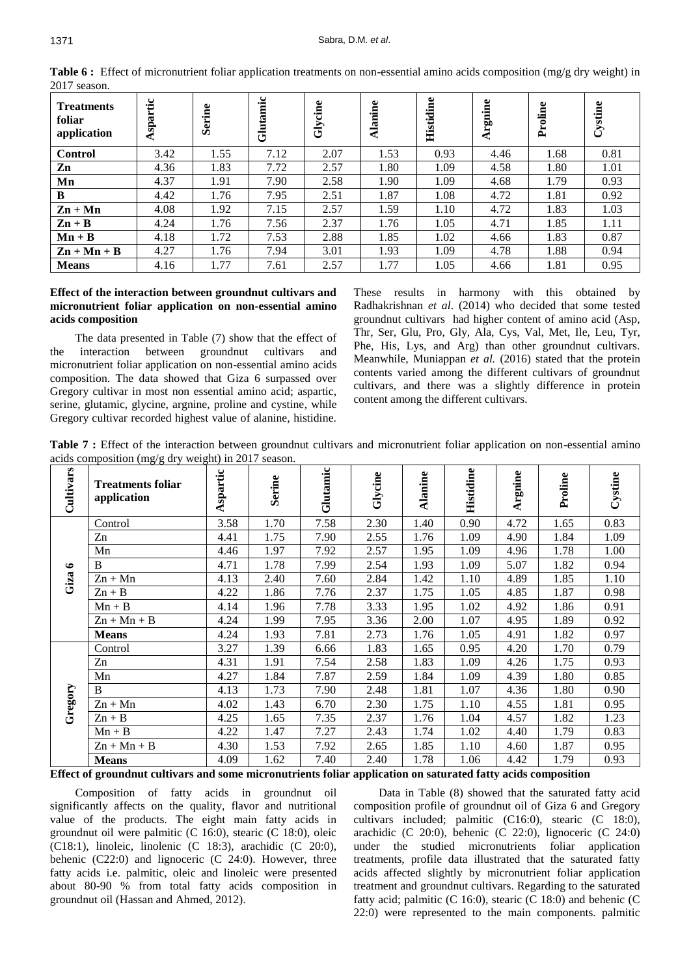| <b>Treatments</b><br>foliar<br>application | spartic | Serine | Glutamic | Glycine | ω<br>anin<br>₹ | Histidine | rgnine | Proline | Cystine |
|--------------------------------------------|---------|--------|----------|---------|----------------|-----------|--------|---------|---------|
| <b>Control</b>                             | 3.42    | 1.55   | 7.12     | 2.07    | 1.53           | 0.93      | 4.46   | 1.68    | 0.81    |
| Zn                                         | 4.36    | 1.83   | 7.72     | 2.57    | 1.80           | 1.09      | 4.58   | 1.80    | 1.01    |
| Mn                                         | 4.37    | 1.91   | 7.90     | 2.58    | 1.90           | 1.09      | 4.68   | 1.79    | 0.93    |
| B                                          | 4.42    | 1.76   | 7.95     | 2.51    | 1.87           | 1.08      | 4.72   | 1.81    | 0.92    |
| $\mathbf{Zn} + \mathbf{Mn}$                | 4.08    | 1.92   | 7.15     | 2.57    | 1.59           | 1.10      | 4.72   | 1.83    | 1.03    |
| $\mathbf{Zn} + \mathbf{B}$                 | 4.24    | 1.76   | 7.56     | 2.37    | 1.76           | 1.05      | 4.71   | 1.85    | 1.11    |
| $Mn + B$                                   | 4.18    | 1.72   | 7.53     | 2.88    | 1.85           | 1.02      | 4.66   | 1.83    | 0.87    |
| $\mathbf{Zn} + \mathbf{Mn} + \mathbf{B}$   | 4.27    | 1.76   | 7.94     | 3.01    | 1.93           | 1.09      | 4.78   | 1.88    | 0.94    |
| <b>Means</b>                               | 4.16    | 1.77   | 7.61     | 2.57    | 1.77           | 1.05      | 4.66   | 1.81    | 0.95    |

**Table 6 :** Effect of micronutrient foliar application treatments on non-essential amino acids composition (mg/g dry weight) in 2017 season.

#### **Effect of the interaction between groundnut cultivars and micronutrient foliar application on non-essential amino acids composition**

The data presented in Table (7) show that the effect of the interaction between groundnut cultivars and micronutrient foliar application on non-essential amino acids composition. The data showed that Giza 6 surpassed over Gregory cultivar in most non essential amino acid; aspartic, serine, glutamic, glycine, argnine, proline and cystine, while Gregory cultivar recorded highest value of alanine, histidine.

These results in harmony with this obtained by Radhakrishnan *et al*. (2014) who decided that some tested groundnut cultivars had higher content of amino acid (Asp, Thr, Ser, Glu, Pro, Gly, Ala, Cys, Val, Met, Ile, Leu, Tyr, Phe, His, Lys, and Arg) than other groundnut cultivars. Meanwhile, Muniappan *et al.* (2016) stated that the protein contents varied among the different cultivars of groundnut cultivars, and there was a slightly difference in protein content among the different cultivars.

**Table 7 :** Effect of the interaction between groundnut cultivars and micronutrient foliar application on non-essential amino acids composition (mg/g dry weight) in 2017 season.

| Cultivars | <b>Treatments foliar</b><br>application | Aspartic | <b>Serine</b> | Glutamic | Glycine | <b>Alanine</b> | Histidine | Argnine | Proline | Cystine |
|-----------|-----------------------------------------|----------|---------------|----------|---------|----------------|-----------|---------|---------|---------|
|           | Control                                 | 3.58     | 1.70          | 7.58     | 2.30    | 1.40           | 0.90      | 4.72    | 1.65    | 0.83    |
|           | Zn                                      | 4.41     | 1.75          | 7.90     | 2.55    | 1.76           | 1.09      | 4.90    | 1.84    | 1.09    |
|           | Mn                                      | 4.46     | 1.97          | 7.92     | 2.57    | 1.95           | 1.09      | 4.96    | 1.78    | 1.00    |
| $\bullet$ | B                                       | 4.71     | 1.78          | 7.99     | 2.54    | 1.93           | 1.09      | 5.07    | 1.82    | 0.94    |
| Giza      | $Zn + Mn$                               | 4.13     | 2.40          | 7.60     | 2.84    | 1.42           | 1.10      | 4.89    | 1.85    | 1.10    |
|           | $Zn + B$                                | 4.22     | 1.86          | 7.76     | 2.37    | 1.75           | 1.05      | 4.85    | 1.87    | 0.98    |
|           | $Mn + B$                                | 4.14     | 1.96          | 7.78     | 3.33    | 1.95           | 1.02      | 4.92    | 1.86    | 0.91    |
|           | $Zn + Mn + B$                           | 4.24     | 1.99          | 7.95     | 3.36    | 2.00           | 1.07      | 4.95    | 1.89    | 0.92    |
|           | <b>Means</b>                            | 4.24     | 1.93          | 7.81     | 2.73    | 1.76           | 1.05      | 4.91    | 1.82    | 0.97    |
|           | Control                                 | 3.27     | 1.39          | 6.66     | 1.83    | 1.65           | 0.95      | 4.20    | 1.70    | 0.79    |
|           | Zn                                      | 4.31     | 1.91          | 7.54     | 2.58    | 1.83           | 1.09      | 4.26    | 1.75    | 0.93    |
|           | Mn                                      | 4.27     | 1.84          | 7.87     | 2.59    | 1.84           | 1.09      | 4.39    | 1.80    | 0.85    |
| Gregory   | B                                       | 4.13     | 1.73          | 7.90     | 2.48    | 1.81           | 1.07      | 4.36    | 1.80    | 0.90    |
|           | $Zn + Mn$                               | 4.02     | 1.43          | 6.70     | 2.30    | 1.75           | 1.10      | 4.55    | 1.81    | 0.95    |
|           | $Zn + B$                                | 4.25     | 1.65          | 7.35     | 2.37    | 1.76           | 1.04      | 4.57    | 1.82    | 1.23    |
|           | $Mn + B$                                | 4.22     | 1.47          | 7.27     | 2.43    | 1.74           | 1.02      | 4.40    | 1.79    | 0.83    |
|           | $Zn + Mn + B$                           | 4.30     | 1.53          | 7.92     | 2.65    | 1.85           | 1.10      | 4.60    | 1.87    | 0.95    |
|           | <b>Means</b>                            | 4.09     | 1.62          | 7.40     | 2.40    | 1.78           | 1.06      | 4.42    | 1.79    | 0.93    |

**Effect of groundnut cultivars and some micronutrients foliar application on saturated fatty acids composition**

Composition of fatty acids in groundnut oil significantly affects on the quality, flavor and nutritional value of the products. The eight main fatty acids in groundnut oil were palmitic (C 16:0), stearic (C 18:0), oleic (C18:1), linoleic, linolenic (C 18:3), arachidic (C 20:0), behenic (C22:0) and lignoceric (C 24:0). However, three fatty acids i.e. palmitic, oleic and linoleic were presented about 80-90 % from total fatty acids composition in groundnut oil (Hassan and Ahmed, 2012).

Data in Table (8) showed that the saturated fatty acid composition profile of groundnut oil of Giza 6 and Gregory cultivars included; palmitic (C16:0), stearic (C 18:0), arachidic (C 20:0), behenic (C 22:0), lignoceric (C 24:0) under the studied micronutrients foliar application treatments, profile data illustrated that the saturated fatty acids affected slightly by micronutrient foliar application treatment and groundnut cultivars. Regarding to the saturated fatty acid; palmitic (C 16:0), stearic (C 18:0) and behenic (C 22:0) were represented to the main components. palmitic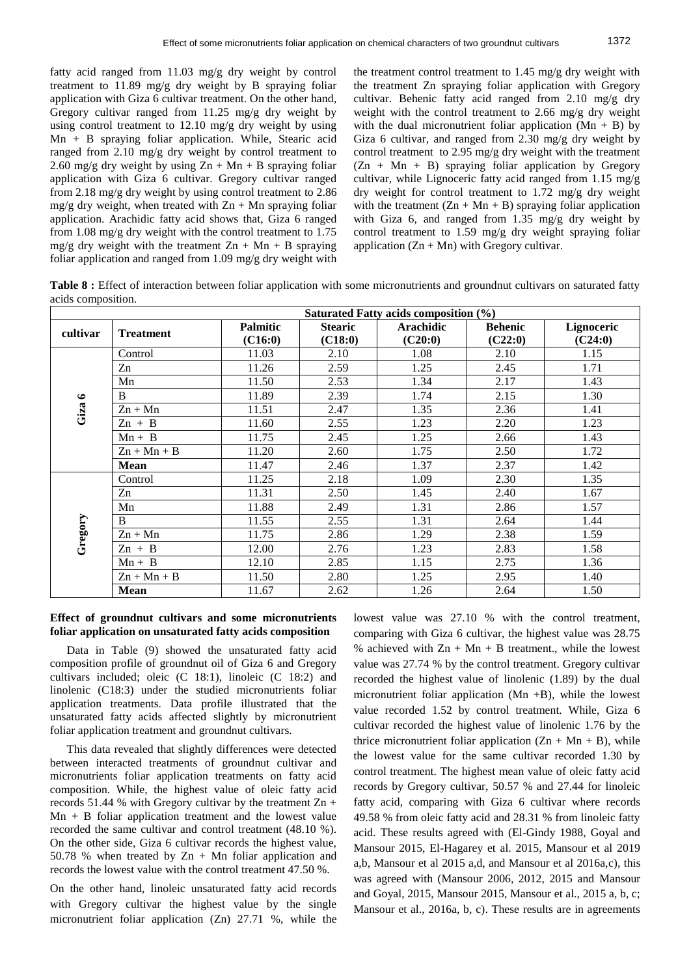fatty acid ranged from 11.03 mg/g dry weight by control treatment to 11.89 mg/g dry weight by B spraying foliar application with Giza 6 cultivar treatment. On the other hand, Gregory cultivar ranged from 11.25 mg/g dry weight by using control treatment to 12.10 mg/g dry weight by using Mn + B spraying foliar application. While, Stearic acid ranged from 2.10 mg/g dry weight by control treatment to 2.60 mg/g dry weight by using  $Zn + Mn + B$  spraying foliar application with Giza 6 cultivar. Gregory cultivar ranged from 2.18 mg/g dry weight by using control treatment to 2.86  $mg/g$  dry weight, when treated with  $Zn + Mn$  spraying foliar application. Arachidic fatty acid shows that, Giza 6 ranged from 1.08 mg/g dry weight with the control treatment to 1.75 mg/g dry weight with the treatment  $Zn + Mn + B$  spraying foliar application and ranged from 1.09 mg/g dry weight with the treatment control treatment to 1.45 mg/g dry weight with the treatment Zn spraying foliar application with Gregory cultivar. Behenic fatty acid ranged from 2.10 mg/g dry weight with the control treatment to 2.66 mg/g dry weight with the dual micronutrient foliar application  $(Mn + B)$  by Giza 6 cultivar, and ranged from 2.30 mg/g dry weight by control treatment to 2.95 mg/g dry weight with the treatment  $(Zn + Mn + B)$  spraying foliar application by Gregory cultivar, while Lignoceric fatty acid ranged from 1.15 mg/g dry weight for control treatment to 1.72 mg/g dry weight with the treatment  $(Zn + Mn + B)$  spraying foliar application with Giza 6, and ranged from 1.35 mg/g dry weight by control treatment to 1.59 mg/g dry weight spraying foliar application  $(Zn + Mn)$  with Gregory cultivar.

Table 8 : Effect of interaction between foliar application with some micronutrients and groundnut cultivars on saturated fatty acids composition.

|          |                  |                 |                | Saturated Fatty acids composition (%) |                |            |
|----------|------------------|-----------------|----------------|---------------------------------------|----------------|------------|
| cultivar | <b>Treatment</b> | <b>Palmitic</b> | <b>Stearic</b> | <b>Arachidic</b>                      | <b>Behenic</b> | Lignoceric |
|          |                  | (C16:0)         | (C18:0)        | (C20:0)                               | (C22:0)        | (C24:0)    |
|          | Control          | 11.03           | 2.10           | 1.08                                  | 2.10           | 1.15       |
|          | Zn               | 11.26           | 2.59           | 1.25                                  | 2.45           | 1.71       |
|          | Mn               | 11.50           | 2.53           | 1.34                                  | 2.17           | 1.43       |
|          | B                | 11.89           | 2.39           | 1.74                                  | 2.15           | 1.30       |
| Giza 6   | $Zn + Mn$        | 11.51           | 2.47           | 1.35                                  | 2.36           | 1.41       |
|          | $Zn + B$         | 11.60           | 2.55           | 1.23                                  | 2.20           | 1.23       |
|          | $Mn + B$         | 11.75           | 2.45           | 1.25                                  | 2.66           | 1.43       |
|          | $Zn + Mn + B$    | 11.20           | 2.60           | 1.75                                  | 2.50           | 1.72       |
|          | <b>Mean</b>      | 11.47           | 2.46           | 1.37                                  | 2.37           | 1.42       |
|          | Control          | 11.25           | 2.18           | 1.09                                  | 2.30           | 1.35       |
|          | Zn               | 11.31           | 2.50           | 1.45                                  | 2.40           | 1.67       |
|          | Mn               | 11.88           | 2.49           | 1.31                                  | 2.86           | 1.57       |
| Gregory  | B                | 11.55           | 2.55           | 1.31                                  | 2.64           | 1.44       |
|          | $Zn + Mn$        | 11.75           | 2.86           | 1.29                                  | 2.38           | 1.59       |
|          | $Zn + B$         | 12.00           | 2.76           | 1.23                                  | 2.83           | 1.58       |
|          | $Mn + B$         | 12.10           | 2.85           | 1.15                                  | 2.75           | 1.36       |
|          | $Zn + Mn + B$    | 11.50           | 2.80           | 1.25                                  | 2.95           | 1.40       |
|          | <b>Mean</b>      | 11.67           | 2.62           | 1.26                                  | 2.64           | 1.50       |

#### **Effect of groundnut cultivars and some micronutrients foliar application on unsaturated fatty acids composition**

Data in Table (9) showed the unsaturated fatty acid composition profile of groundnut oil of Giza 6 and Gregory cultivars included; oleic (C 18:1), linoleic (C 18:2) and linolenic (C18:3) under the studied micronutrients foliar application treatments. Data profile illustrated that the unsaturated fatty acids affected slightly by micronutrient foliar application treatment and groundnut cultivars.

This data revealed that slightly differences were detected between interacted treatments of groundnut cultivar and micronutrients foliar application treatments on fatty acid composition. While, the highest value of oleic fatty acid records 51.44 % with Gregory cultivar by the treatment  $\text{Zn}$  + Mn + B foliar application treatment and the lowest value recorded the same cultivar and control treatment (48.10 %). On the other side, Giza 6 cultivar records the highest value, 50.78 % when treated by  $Zn + Mn$  foliar application and records the lowest value with the control treatment 47.50 %.

On the other hand, linoleic unsaturated fatty acid records with Gregory cultivar the highest value by the single micronutrient foliar application (Zn) 27.71 %, while the lowest value was 27.10 % with the control treatment, comparing with Giza 6 cultivar, the highest value was 28.75 % achieved with  $Zn + Mn + B$  treatment., while the lowest value was 27.74 % by the control treatment. Gregory cultivar recorded the highest value of linolenic (1.89) by the dual micronutrient foliar application  $(Mn + B)$ , while the lowest value recorded 1.52 by control treatment. While, Giza 6 cultivar recorded the highest value of linolenic 1.76 by the thrice micronutrient foliar application  $(Zn + Mn + B)$ , while the lowest value for the same cultivar recorded 1.30 by control treatment. The highest mean value of oleic fatty acid records by Gregory cultivar, 50.57 % and 27.44 for linoleic fatty acid, comparing with Giza 6 cultivar where records 49.58 % from oleic fatty acid and 28.31 % from linoleic fatty acid. These results agreed with (El-Gindy 1988, Goyal and Mansour 2015, El-Hagarey et al. 2015, Mansour et al 2019 a,b, Mansour et al 2015 a,d, and Mansour et al 2016a,c), this was agreed with (Mansour 2006, 2012, 2015 and Mansour and Goyal, 2015, Mansour 2015, Mansour et al., 2015 a, b, c; Mansour et al., 2016a, b, c). These results are in agreements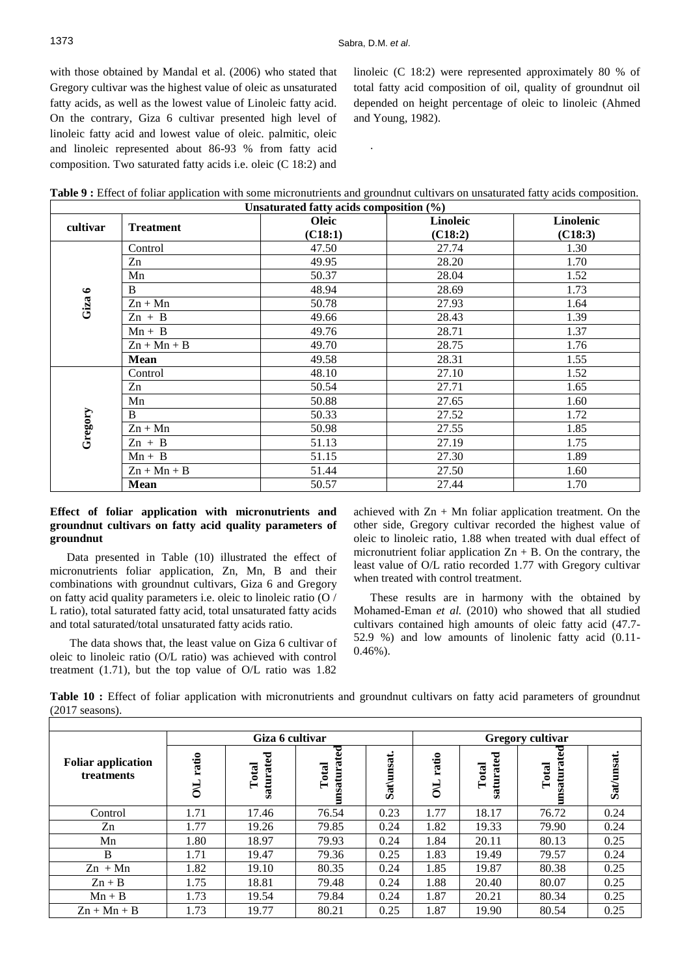.

with those obtained by Mandal et al. (2006) who stated that Gregory cultivar was the highest value of oleic as unsaturated fatty acids, as well as the lowest value of Linoleic fatty acid. On the contrary, Giza 6 cultivar presented high level of linoleic fatty acid and lowest value of oleic. palmitic, oleic and linoleic represented about 86-93 % from fatty acid composition. Two saturated fatty acids i.e. oleic (C 18:2) and linoleic (C 18:2) were represented approximately 80 % of total fatty acid composition of oil, quality of groundnut oil depended on height percentage of oleic to linoleic (Ahmed and Young, 1982).

| Table 9 : Effect of foliar application with some micronutrients and ground nut cultivars on unsaturated fatty acids composition |
|---------------------------------------------------------------------------------------------------------------------------------|
|---------------------------------------------------------------------------------------------------------------------------------|

| Unsaturated fatty acids composition $(\% )$ |                  |                         |                     |                      |  |  |  |  |  |
|---------------------------------------------|------------------|-------------------------|---------------------|----------------------|--|--|--|--|--|
| cultivar                                    | <b>Treatment</b> | <b>Oleic</b><br>(C18:1) | Linoleic<br>(C18:2) | Linolenic<br>(C18:3) |  |  |  |  |  |
|                                             | Control          | 47.50                   | 27.74               | 1.30                 |  |  |  |  |  |
|                                             | Zn               | 49.95                   | 28.20               | 1.70                 |  |  |  |  |  |
|                                             | Mn               | 50.37                   | 28.04               | 1.52                 |  |  |  |  |  |
|                                             | $\mathbf{B}$     | 48.94                   | 28.69               | 1.73                 |  |  |  |  |  |
| Giza 6                                      | $Zn + Mn$        | 50.78                   | 27.93               | 1.64                 |  |  |  |  |  |
|                                             | $Zn + B$         | 49.66                   | 28.43               | 1.39                 |  |  |  |  |  |
|                                             | $Mn + B$         | 49.76                   | 28.71               | 1.37                 |  |  |  |  |  |
|                                             | $Zn + Mn + B$    | 49.70                   | 28.75               | 1.76                 |  |  |  |  |  |
|                                             | <b>Mean</b>      | 49.58                   | 28.31               | 1.55                 |  |  |  |  |  |
|                                             | Control          | 48.10                   | 27.10               | 1.52                 |  |  |  |  |  |
|                                             | Zn               | 50.54                   | 27.71               | 1.65                 |  |  |  |  |  |
|                                             | Mn               | 50.88                   | 27.65               | 1.60                 |  |  |  |  |  |
|                                             | B                | 50.33                   | 27.52               | 1.72                 |  |  |  |  |  |
|                                             | $Zn + Mn$        | 50.98                   | 27.55               | 1.85                 |  |  |  |  |  |
| Gregory                                     | $Zn + B$         | 51.13                   | 27.19               | 1.75                 |  |  |  |  |  |
|                                             | $Mn + B$         | 51.15                   | 27.30               | 1.89                 |  |  |  |  |  |
|                                             | $Zn + Mn + B$    | 51.44                   | 27.50               | 1.60                 |  |  |  |  |  |
|                                             | <b>Mean</b>      | 50.57                   | 27.44               | 1.70                 |  |  |  |  |  |

## **Effect of foliar application with micronutrients and groundnut cultivars on fatty acid quality parameters of groundnut**

Data presented in Table (10) illustrated the effect of micronutrients foliar application, Zn, Mn, B and their combinations with groundnut cultivars, Giza 6 and Gregory on fatty acid quality parameters i.e. oleic to linoleic ratio (O / L ratio), total saturated fatty acid, total unsaturated fatty acids and total saturated/total unsaturated fatty acids ratio.

The data shows that, the least value on Giza 6 cultivar of oleic to linoleic ratio (O/L ratio) was achieved with control treatment (1.71), but the top value of O/L ratio was 1.82 achieved with  $Zn + Mn$  foliar application treatment. On the other side, Gregory cultivar recorded the highest value of oleic to linoleic ratio, 1.88 when treated with dual effect of micronutrient foliar application  $Zn + B$ . On the contrary, the least value of O/L ratio recorded 1.77 with Gregory cultivar when treated with control treatment.

These results are in harmony with the obtained by Mohamed-Eman *et al.* (2010) who showed that all studied cultivars contained high amounts of oleic fatty acid (47.7- 52.9 %) and low amounts of linolenic fatty acid (0.11- 0.46%).

**Table 10 :** Effect of foliar application with micronutrients and groundnut cultivars on fatty acid parameters of groundnut (2017 seasons).

|                                         |                        | Giza 6 cultivar            |                      | Gregory cultivar |                |                    |                          |           |  |  |
|-----------------------------------------|------------------------|----------------------------|----------------------|------------------|----------------|--------------------|--------------------------|-----------|--|--|
| <b>Foliar application</b><br>treatments | ratio<br>$\frac{1}{2}$ | ರ<br>Total<br>tat<br>satun | unsaturated<br>Total | Sat\unsat        | ratio<br>$\Xi$ | saturated<br>Total | ted<br>unsatura<br>Total | Sat/unsat |  |  |
| Control                                 | 1.71                   | 17.46                      | 76.54                | 0.23             | 1.77           | 18.17              | 76.72                    | 0.24      |  |  |
| Zn                                      | 1.77                   | 19.26                      | 79.85                | 0.24             | 1.82           | 19.33              | 79.90                    | 0.24      |  |  |
| Mn                                      | 1.80                   | 18.97                      | 79.93                | 0.24             | 1.84           | 20.11              | 80.13                    | 0.25      |  |  |
| B                                       | 1.71                   | 19.47                      | 79.36                | 0.25             | 1.83           | 19.49              | 79.57                    | 0.24      |  |  |
| $Zn + Mn$                               | 1.82                   | 19.10                      | 80.35                | 0.24             | 1.85           | 19.87              | 80.38                    | 0.25      |  |  |
| $Zn + B$                                | 1.75                   | 18.81                      | 79.48                | 0.24             | 1.88           | 20.40              | 80.07                    | 0.25      |  |  |
| $Mn + B$                                | 1.73                   | 19.54                      | 79.84                | 0.24             | 1.87           | 20.21              | 80.34                    | 0.25      |  |  |
| $Zn + Mn + B$                           | 1.73                   | 19.77                      | 80.21                | 0.25             | 1.87           | 19.90              | 80.54                    | 0.25      |  |  |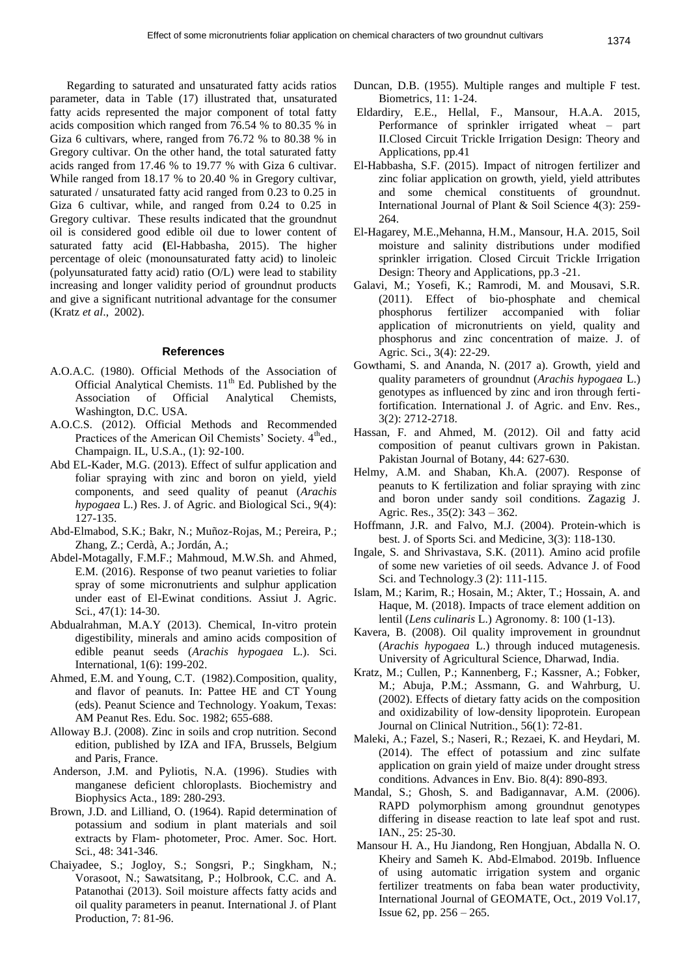Regarding to saturated and unsaturated fatty acids ratios parameter, data in Table (17) illustrated that, unsaturated fatty acids represented the major component of total fatty acids composition which ranged from 76.54 % to 80.35 % in Giza 6 cultivars, where, ranged from 76.72 % to 80.38 % in Gregory cultivar. On the other hand, the total saturated fatty acids ranged from 17.46 % to 19.77 % with Giza 6 cultivar. While ranged from 18.17 % to 20.40 % in Gregory cultivar, saturated / unsaturated fatty acid ranged from 0.23 to 0.25 in Giza 6 cultivar, while, and ranged from 0.24 to 0.25 in Gregory cultivar. These results indicated that the groundnut oil is considered good edible oil due to lower content of saturated fatty acid **(**El**-**Habbasha, 2015). The higher percentage of oleic (monounsaturated fatty acid) to linoleic (polyunsaturated fatty acid) ratio (O/L) were lead to stability increasing and longer validity period of groundnut products and give a significant nutritional advantage for the consumer (Kratz *et al*., 2002).

#### **References**

- A.O.A.C. (1980). Official Methods of the Association of Official Analytical Chemists.  $11<sup>th</sup>$  Ed. Published by the Association of Official Analytical Chemists, Washington, D.C. USA.
- A.O.C.S. (2012). Official Methods and Recommended Practices of the American Oil Chemists' Society. 4<sup>th</sup>ed., Champaign. IL, U.S.A., (1): 92-100.
- Abd EL-Kader, M.G. (2013). Effect of sulfur application and foliar spraying with zinc and boron on yield, yield components, and seed quality of peanut (*Arachis hypogaea* L.) Res. J. of Agric. and Biological Sci., 9(4): 127-135.
- Abd-Elmabod, S.K.; Bakr, N.; Muñoz-Rojas, M.; Pereira, P.; Zhang, Z.; Cerdà, A.; Jordán, A.;
- Abdel-Motagally, F.M.F.; Mahmoud, M.W.Sh. and Ahmed, E.M. (2016). Response of two peanut varieties to foliar spray of some micronutrients and sulphur application under east of El-Ewinat conditions. Assiut J. Agric. Sci., 47(1): 14-30.
- Abdualrahman, M.A.Y (2013). Chemical, In-vitro protein digestibility, minerals and amino acids composition of edible peanut seeds (*Arachis hypogaea* L.). Sci. International, 1(6): 199-202.
- Ahmed, E.M. and Young, C.T. (1982).Composition, quality, and flavor of peanuts. In: Pattee HE and CT Young (eds). Peanut Science and Technology. Yoakum, Texas: AM Peanut Res. Edu. Soc. 1982; 655-688.
- Alloway B.J. (2008). Zinc in soils and crop nutrition. Second edition, published by IZA and IFA, Brussels, Belgium and Paris, France.
- Anderson, J.M. and Pyliotis, N.A. (1996). Studies with manganese deficient chloroplasts. Biochemistry and Biophysics Acta., 189: 280-293.
- Brown, J.D. and Lilliand, O. (1964). Rapid determination of potassium and sodium in plant materials and soil extracts by Flam- photometer, Proc. Amer. Soc. Hort. Sci., 48: 341-346.
- Chaiyadee, S.; Jogloy, S.; Songsri, P.; Singkham, N.; Vorasoot, N.; Sawatsitang, P.; Holbrook, C.C. and A. Patanothai (2013). Soil moisture affects fatty acids and oil quality parameters in peanut. International J. of Plant Production, 7: 81-96.
- Duncan, D.B. (1955). Multiple ranges and multiple F test. Biometrics, 11: 1-24.
- Eldardiry, E.E., Hellal, F., Mansour, H.A.A. 2015, Performance of sprinkler irrigated wheat – part II.Closed Circuit Trickle Irrigation Design: Theory and Applications, pp.41
- El-Habbasha, S.F. (2015). Impact of nitrogen fertilizer and zinc foliar application on growth, yield, yield attributes and some chemical constituents of groundnut. International Journal of Plant & Soil Science 4(3): 259- 264.
- El-Hagarey, M.E.,Mehanna, H.M., Mansour, H.A. 2015, Soil moisture and salinity distributions under modified sprinkler irrigation. Closed Circuit Trickle Irrigation Design: Theory and Applications, pp.3 -21.
- Galavi, M.; Yosefi, K.; Ramrodi, M. and Mousavi, S.R. (2011). Effect of bio-phosphate and chemical phosphorus fertilizer accompanied with foliar application of micronutrients on yield, quality and phosphorus and zinc concentration of maize. J. of Agric. Sci., 3(4): 22-29.
- Gowthami, S. and Ananda, N. (2017 a). Growth, yield and quality parameters of groundnut (*Arachis hypogaea* L.) genotypes as influenced by zinc and iron through fertifortification. International J. of Agric. and Env. Res., 3(2): 2712-2718.
- Hassan, F. and Ahmed, M. (2012). Oil and fatty acid composition of peanut cultivars grown in Pakistan. Pakistan Journal of Botany, 44: 627-630.
- Helmy, A.M. and Shaban, Kh.A. (2007). Response of peanuts to K fertilization and foliar spraying with zinc and boron under sandy soil conditions. Zagazig J. Agric. Res., 35(2): 343 – 362.
- Hoffmann, J.R. and Falvo, M.J. (2004). Protein-which is best. J. of Sports Sci. and Medicine, 3(3): 118-130.
- Ingale, S. and Shrivastava, S.K. (2011). Amino acid profile of some new varieties of oil seeds. Advance J. of Food Sci. and Technology.3 (2): 111-115.
- Islam, M.; Karim, R.; Hosain, M.; Akter, T.; Hossain, A. and Haque, M. (2018). Impacts of trace element addition on lentil (*Lens culinaris* L.) Agronomy. 8: 100 (1-13).
- Kavera, B. (2008). Oil quality improvement in groundnut (*Arachis hypogaea* L.) through induced mutagenesis. University of Agricultural Science, Dharwad, India.
- Kratz, M.; Cullen, P.; Kannenberg, F.; Kassner, A.; Fobker, M.; Abuja, P.M.; Assmann, G. and Wahrburg, U. (2002). Effects of dietary fatty acids on the composition and oxidizability of low-density lipoprotein. European Journal on Clinical Nutrition., 56(1): 72-81.
- Maleki, A.; Fazel, S.; Naseri, R.; Rezaei, K. and Heydari, M. (2014). The effect of potassium and zinc sulfate application on grain yield of maize under drought stress conditions. Advances in Env. Bio. 8(4): 890-893.
- Mandal, S.; Ghosh, S. and Badigannavar, A.M. (2006). RAPD polymorphism among groundnut genotypes differing in disease reaction to late leaf spot and rust. IAN., 25: 25-30.
- Mansour H. A., Hu Jiandong, Ren Hongjuan, Abdalla N. O. Kheiry and Sameh K. [Abd-Elmabod.](https://www.mdpi.com/search?authors=Sameh%20%20Kotb%20Abd-Elmabod&orcid=0000-0003-1697-7564) 2019b. Influence of using automatic irrigation system and organic fertilizer treatments on faba bean water productivity, International Journal of GEOMATE, Oct., 2019 Vol.17, Issue 62, pp. 256 – 265.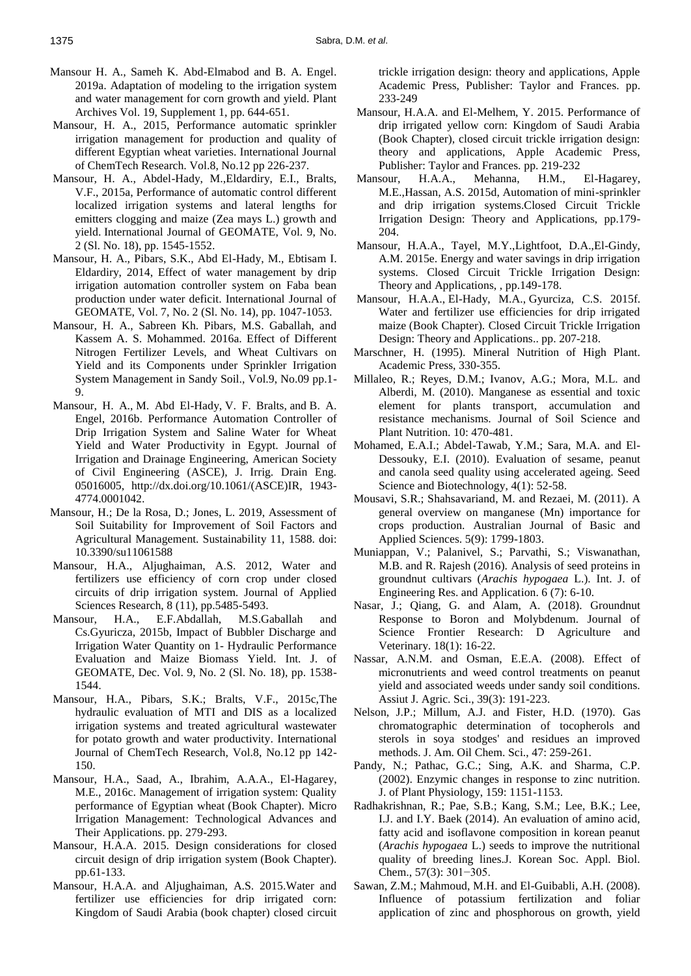- Mansour H. A., Sameh K. Abd-Elmabod and B. A. Engel. 2019a. Adaptation of modeling to the irrigation system and water management for corn growth and yield. Plant Archives Vol. 19, Supplement 1, pp. 644-651.
- Mansour, H. A., 2015, Performance automatic sprinkler irrigation management for production and quality of different Egyptian wheat varieties. International Journal of ChemTech Research. Vol.8, No.12 pp 226-237.
- Mansour, H. A., Abdel-Hady, M.,Eldardiry, E.I., Bralts, V.F., 2015a, Performance of automatic control different localized irrigation systems and lateral lengths for emitters clogging and maize (Zea mays L.) growth and yield. International Journal of GEOMATE, Vol. 9, No. 2 (Sl. No. 18), pp. 1545-1552.
- Mansour, H. A., Pibars, S.K., Abd El-Hady, M., Ebtisam I. Eldardiry, 2014, Effect of water management by drip irrigation automation controller system on Faba bean production under water deficit. International Journal of GEOMATE, Vol. 7, No. 2 (Sl. No. 14), pp. 1047-1053.
- Mansour, H. A., Sabreen Kh. Pibars, M.S. Gaballah, and Kassem A. S. Mohammed. 2016a. Effect of Different Nitrogen Fertilizer Levels, and Wheat Cultivars on Yield and its Components under Sprinkler Irrigation System Management in Sandy Soil., Vol.9, No.09 pp.1- 9.
- Mansour, [H. A.,](http://ascelibrary.org/author/Mansour%2C+H+A) [M. Abd El-Hady,](http://ascelibrary.org/author/Abd+El-Hady%2C+M) [V. F. Bralts,](http://ascelibrary.org/author/Bralts%2C+V+F) and [B. A.](http://ascelibrary.org/author/Engel%2C+B+A)  [Engel,](http://ascelibrary.org/author/Engel%2C+B+A) 2016b. Performance Automation Controller of Drip Irrigation System and Saline Water for Wheat Yield and Water Productivity in Egypt. Journal of Irrigation and Drainage Engineering, American Society of Civil Engineering (ASCE), J. Irrig. Drain Eng. 05016005, [http://dx.doi.org/10.1061/\(ASCE\)IR, 1943-](http://dx.doi.org/10.1061/(ASCE)IR,%202016.1943-4774.0001042) [4774.0001042.](http://dx.doi.org/10.1061/(ASCE)IR,%202016.1943-4774.0001042)
- Mansour, H.; De la Rosa, D.; Jones, L. 2019, Assessment of Soil Suitability for Improvement of Soil Factors and Agricultural Management. Sustainability 11, 1588. doi: 10.3390/su11061588
- Mansour, H.A., Aljughaiman, A.S. 2012, Water and fertilizers use efficiency of corn crop under closed circuits of drip irrigation system. Journal of Applied Sciences Research, 8 (11), pp.5485-5493.
- Mansour, H.A., E.F.Abdallah, M.S.Gaballah and Cs.Gyuricza, 2015b, Impact of Bubbler Discharge and Irrigation Water Quantity on 1- Hydraulic Performance Evaluation and Maize Biomass Yield. Int. J. of GEOMATE, Dec. Vol. 9, No. 2 (Sl. No. 18), pp. 1538- 1544.
- Mansour, H.A., Pibars, S.K.; Bralts, V.F., 2015c[,The](https://www.scopus.com/record/display.uri?eid=2-s2.0-84957554566&origin=resultslist&sort=plf-f&src=s&sid=9f3f385c3822a5adff40c6f9fed7b096&sot=autdocs&sdt=autdocs&sl=18&s=AU-ID%2855347622900%29&relpos=20&citeCnt=3&searchTerm=)  [hydraulic evaluation of MTI and DIS as a localized](https://www.scopus.com/record/display.uri?eid=2-s2.0-84957554566&origin=resultslist&sort=plf-f&src=s&sid=9f3f385c3822a5adff40c6f9fed7b096&sot=autdocs&sdt=autdocs&sl=18&s=AU-ID%2855347622900%29&relpos=20&citeCnt=3&searchTerm=)  [irrigation systems and treated agricultural wastewater](https://www.scopus.com/record/display.uri?eid=2-s2.0-84957554566&origin=resultslist&sort=plf-f&src=s&sid=9f3f385c3822a5adff40c6f9fed7b096&sot=autdocs&sdt=autdocs&sl=18&s=AU-ID%2855347622900%29&relpos=20&citeCnt=3&searchTerm=)  [for potato growth and water productivity.](https://www.scopus.com/record/display.uri?eid=2-s2.0-84957554566&origin=resultslist&sort=plf-f&src=s&sid=9f3f385c3822a5adff40c6f9fed7b096&sot=autdocs&sdt=autdocs&sl=18&s=AU-ID%2855347622900%29&relpos=20&citeCnt=3&searchTerm=) International Journal of ChemTech Research, Vol.8, No.12 pp 142- 150.
- Mansour, H.A., Saad, A., Ibrahim, A.A.A., El-Hagarey, M.E., 2016c. Management of irrigation system: Quality performance of Egyptian wheat (Book Chapter). Micro Irrigation Management: Technological Advances and Their Applications. pp. 279-293.
- [Mansour, H.A.A.](https://www.scopus.com/authid/detail.uri?origin=AuthorProfile&authorId=55347622900&zone=) 2015. [Design considerations for closed](https://www.scopus.com/record/display.uri?eid=2-s2.0-85054467262&origin=resultslist&sort=plf-f&src=s&sid=f7e0ce44af01132b67cfacbb96bcd0f0&sot=autdocs&sdt=autdocs&sl=18&s=AU-ID%2855347622900%29&relpos=8&citeCnt=0&searchTerm=)  [circuit design of drip irrigation system](https://www.scopus.com/record/display.uri?eid=2-s2.0-85054467262&origin=resultslist&sort=plf-f&src=s&sid=f7e0ce44af01132b67cfacbb96bcd0f0&sot=autdocs&sdt=autdocs&sl=18&s=AU-ID%2855347622900%29&relpos=8&citeCnt=0&searchTerm=) (Book Chapter). pp.61-133.
- Mansour, H.A.A. and Aljughaiman, A.S. 2015.Water and fertilizer use efficiencies for drip irrigated corn: Kingdom of Saudi Arabia (book chapter) closed circuit

trickle irrigation design: theory and applications, Apple Academic Press, Publisher: Taylor and Frances. pp. 233-249

- Mansour, H.A.A. and El-Melhem, Y. 2015. Performance of drip irrigated yellow corn: Kingdom of Saudi Arabia (Book Chapter), closed circuit trickle irrigation design: theory and applications, Apple Academic Press, Publisher: Taylor and Frances. pp. 219-232
- Mansour, H.A.A., Mehanna, H.M., El-Hagarey, M.E.,Hassan, A.S. 2015d, Automation of mini-sprinkler and drip irrigation systems.Closed Circuit Trickle Irrigation Design: Theory and Applications, pp.179- 204.
- Mansour, H.A.A., Tayel, M.Y.,Lightfoot, D.A.,El-Gindy, A.M. 2015e. Energy and water savings in drip irrigation systems. Closed Circuit Trickle Irrigation Design: Theory and Applications, , pp.149-178.
- [Mansour, H.A.A.,](https://www.scopus.com/authid/detail.uri?origin=AuthorProfile&authorId=55347622900&zone=) [El-Hady, M.A.,](https://www.scopus.com/authid/detail.uri?origin=AuthorProfile&authorId=57191873763&zone=) [Gyurciza, C.S.](https://www.scopus.com/authid/detail.uri?origin=AuthorProfile&authorId=57204084360&zone=) 2015f. [Water and fertilizer use efficiencies for drip irrigated](https://www.scopus.com/record/display.uri?eid=2-s2.0-85054424947&origin=resultslist&sort=plf-f&src=s&sid=f7e0ce44af01132b67cfacbb96bcd0f0&sot=autdocs&sdt=autdocs&sl=18&s=AU-ID%2855347622900%29&relpos=20&citeCnt=0&searchTerm=)  [maize](https://www.scopus.com/record/display.uri?eid=2-s2.0-85054424947&origin=resultslist&sort=plf-f&src=s&sid=f7e0ce44af01132b67cfacbb96bcd0f0&sot=autdocs&sdt=autdocs&sl=18&s=AU-ID%2855347622900%29&relpos=20&citeCnt=0&searchTerm=) (Book Chapter). [Closed Circuit Trickle Irrigation](https://www.scopus.com/display/book.uri?sourceId=21100879993&requestedPage=book)  [Design: Theory and Applications.](https://www.scopus.com/display/book.uri?sourceId=21100879993&requestedPage=book). pp. 207-218.
- Marschner, H. (1995). Mineral Nutrition of High Plant. Academic Press, 330-355.
- Millaleo, R.; Reyes, D.M.; Ivanov, A.G.; Mora, M.L. and Alberdi, M. (2010). Manganese as essential and toxic element for plants transport, accumulation and resistance mechanisms. Journal of Soil Science and Plant Nutrition. 10: 470-481.
- Mohamed, E.A.I.; Abdel-Tawab, Y.M.; Sara, M.A. and El-Dessouky, E.I. (2010). Evaluation of sesame, peanut and canola seed quality using accelerated ageing. Seed Science and Biotechnology, 4(1): 52-58.
- Mousavi, S.R.; Shahsavariand, M. and Rezaei, M. (2011). A general overview on manganese (Mn) importance for crops production. Australian Journal of Basic and Applied Sciences. 5(9): 1799-1803.
- Muniappan, V.; Palanivel, S.; Parvathi, S.; Viswanathan, M.B. and R. Rajesh (2016). Analysis of seed proteins in groundnut cultivars (*Arachis hypogaea* L.). Int. J. of Engineering Res. and Application. 6 (7): 6-10.
- Nasar, J.; Qiang, G. and Alam, A. (2018). Groundnut Response to Boron and Molybdenum. Journal of Science Frontier Research: D Agriculture and Veterinary. 18(1): 16-22.
- Nassar, A.N.M. and Osman, E.E.A. (2008). Effect of micronutrients and weed control treatments on peanut yield and associated weeds under sandy soil conditions. Assiut J. Agric. Sci., 39(3): 191-223.
- Nelson, J.P.; Millum, A.J. and Fister, H.D. (1970). Gas chromatographic determination of tocopherols and sterols in soya stodges' and residues an improved methods. J. Am. Oil Chem. Sci., 47: 259-261.
- Pandy, N.; Pathac, G.C.; Sing, A.K. and Sharma, C.P. (2002). Enzymic changes in response to zinc nutrition. J. of Plant Physiology, 159: 1151-1153.
- Radhakrishnan, R.; Pae, S.B.; Kang, S.M.; Lee, B.K.; Lee, I.J. and I.Y. Baek (2014). An evaluation of amino acid, fatty acid and isoflavone composition in korean peanut (*Arachis hypogaea* L.) seeds to improve the nutritional quality of breeding lines.J. Korean Soc. Appl. Biol. Chem., 57(3): 301−305.
- Sawan, Z.M.; Mahmoud, M.H. and El-Guibabli, A.H. (2008). Influence of potassium fertilization and foliar application of zinc and phosphorous on growth, yield